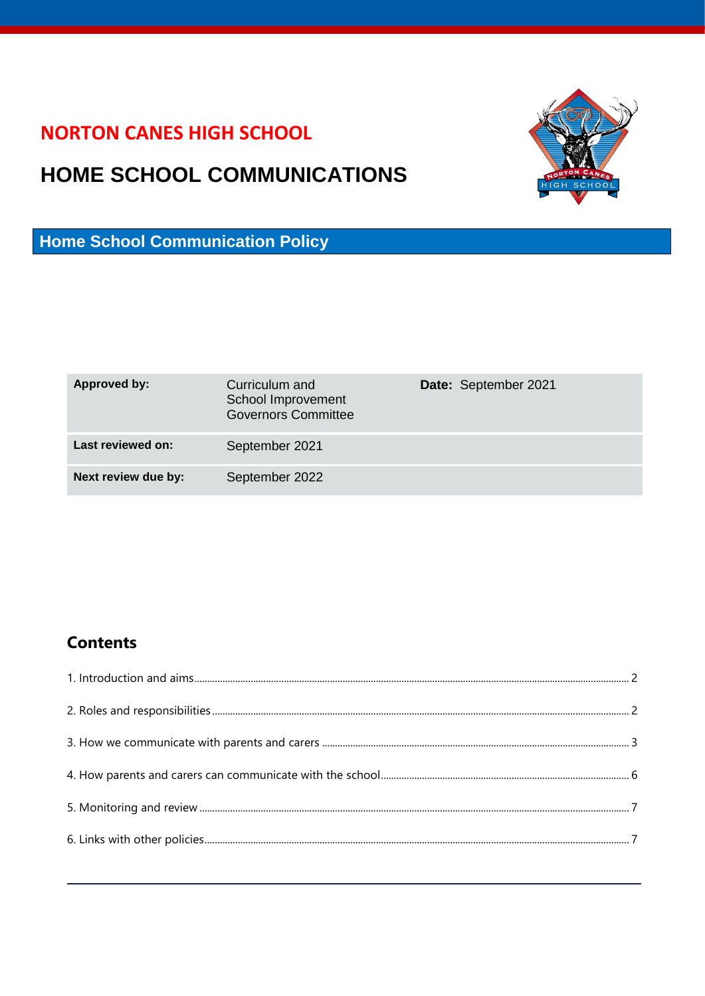### **NORTON CANES HIGH SCHOOL**

# **HOME SCHOOL COMMUNICATIONS**



**Home School Communication Policy**

| <b>Approved by:</b> | Curriculum and<br>School Improvement<br><b>Governors Committee</b> | Date: September 2021 |
|---------------------|--------------------------------------------------------------------|----------------------|
| Last reviewed on:   | September 2021                                                     |                      |
| Next review due by: | September 2022                                                     |                      |

### **Contents**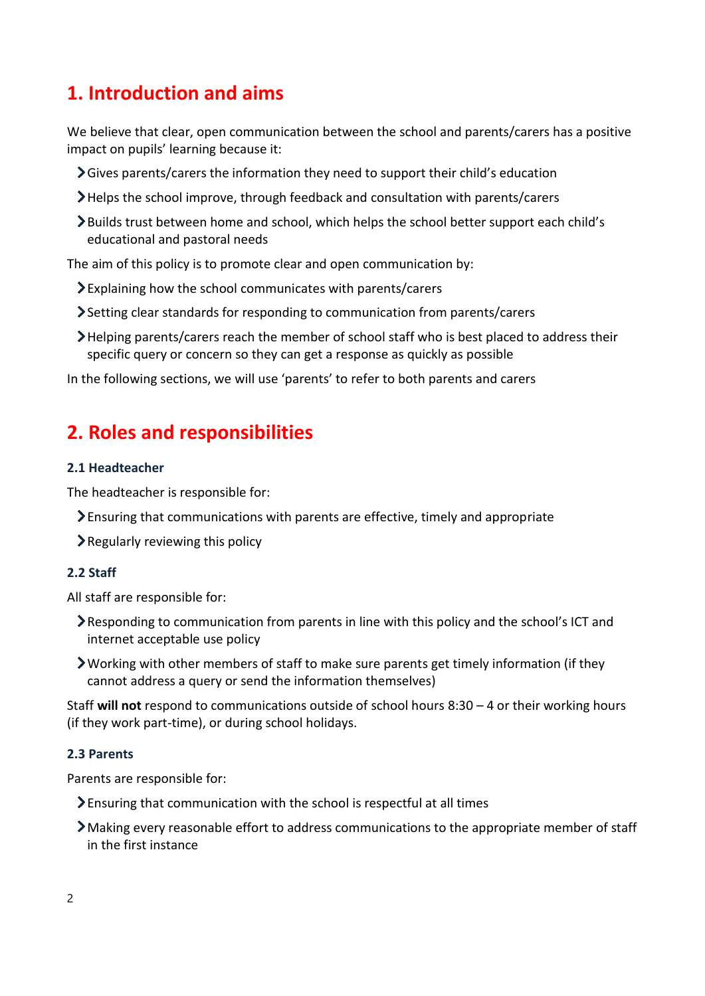### <span id="page-1-0"></span>**1. Introduction and aims**

We believe that clear, open communication between the school and parents/carers has a positive impact on pupils' learning because it:

- Gives parents/carers the information they need to support their child's education
- Helps the school improve, through feedback and consultation with parents/carers
- Builds trust between home and school, which helps the school better support each child's educational and pastoral needs

The aim of this policy is to promote clear and open communication by:

- Explaining how the school communicates with parents/carers
- Setting clear standards for responding to communication from parents/carers
- Helping parents/carers reach the member of school staff who is best placed to address their specific query or concern so they can get a response as quickly as possible

In the following sections, we will use 'parents' to refer to both parents and carers

### <span id="page-1-1"></span>**2. Roles and responsibilities**

#### **2.1 Headteacher**

The headteacher is responsible for:

- Ensuring that communications with parents are effective, timely and appropriate
- $\geq$  Regularly reviewing this policy

#### **2.2 Staff**

All staff are responsible for:

- Responding to communication from parents in line with this policy and the school's ICT and internet acceptable use policy
- Working with other members of staff to make sure parents get timely information (if they cannot address a query or send the information themselves)

Staff **will not** respond to communications outside of school hours 8:30 – 4 or their working hours (if they work part-time), or during school holidays.

#### **2.3 Parents**

Parents are responsible for:

- Ensuring that communication with the school is respectful at all times
- Making every reasonable effort to address communications to the appropriate member of staff in the first instance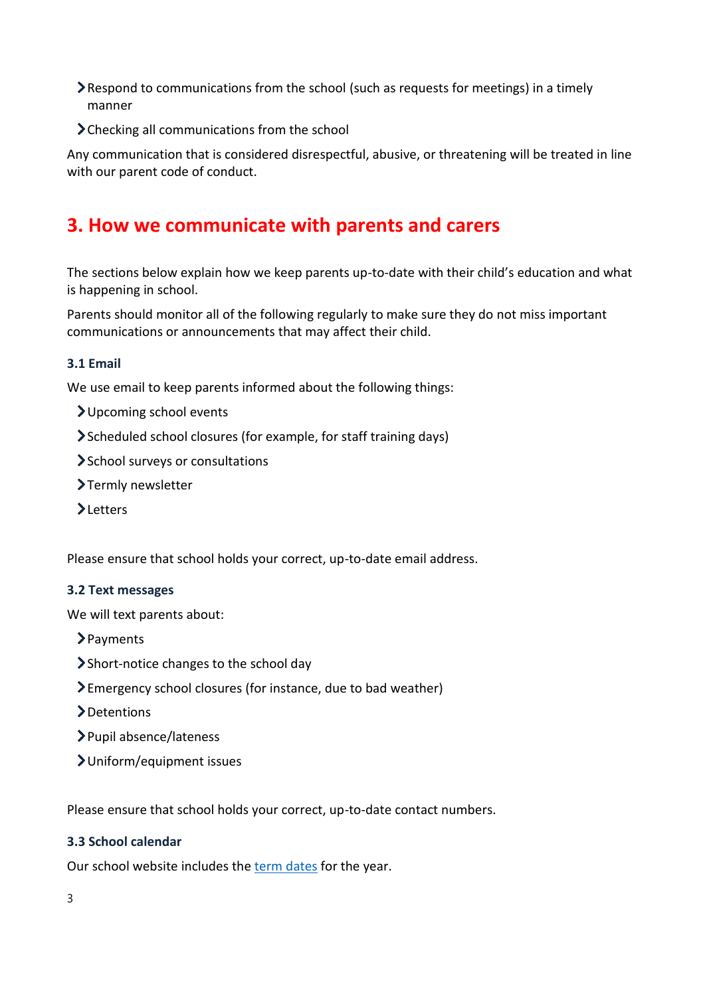- Respond to communications from the school (such as requests for meetings) in a timely manner
- > Checking all communications from the school

Any communication that is considered disrespectful, abusive, or threatening will be treated in line with our parent code of conduct.

## <span id="page-2-0"></span>**3. How we communicate with parents and carers**

The sections below explain how we keep parents up-to-date with their child's education and what is happening in school.

Parents should monitor all of the following regularly to make sure they do not miss important communications or announcements that may affect their child.

#### **3.1 Email**

We use email to keep parents informed about the following things:

- Upcoming school events
- Scheduled school closures (for example, for staff training days)
- School surveys or consultations
- >Termly newsletter
- >Letters

Please ensure that school holds your correct, up-to-date email address.

#### **3.2 Text messages**

We will text parents about:

- > Payments
- Short-notice changes to the school day
- Emergency school closures (for instance, due to bad weather)
- >Detentions
- Pupil absence/lateness
- Uniform/equipment issues

Please ensure that school holds your correct, up-to-date contact numbers.

#### **3.3 School calendar**

Our school website includes the [term dates](https://www.nortoncaneshighschool.co.uk/term-dates/) for the year.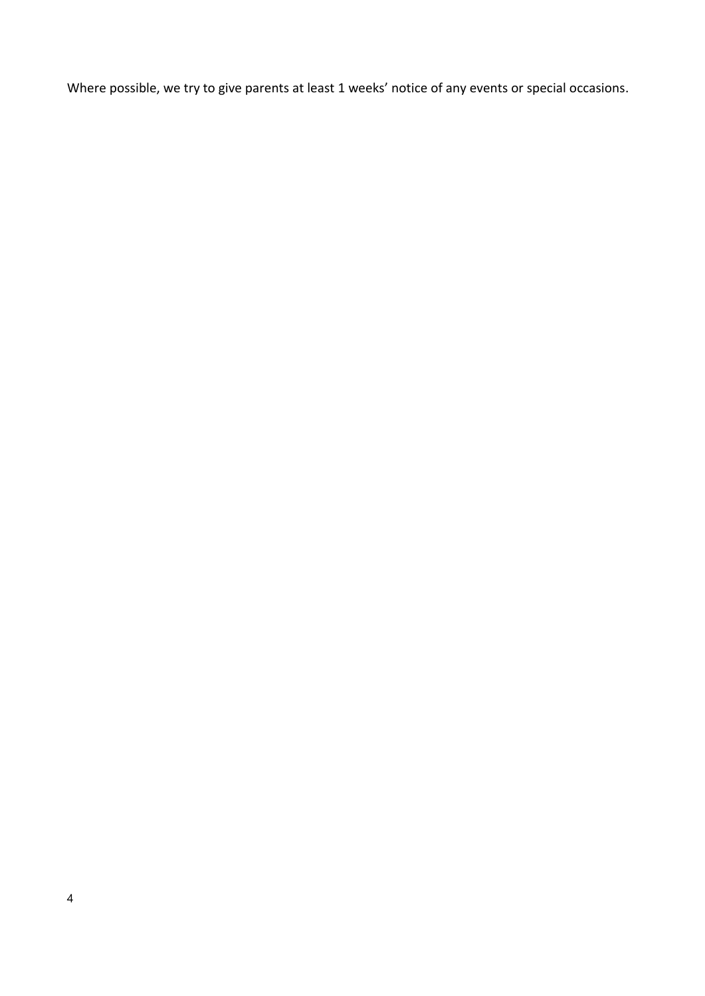Where possible, we try to give parents at least 1 weeks' notice of any events or special occasions.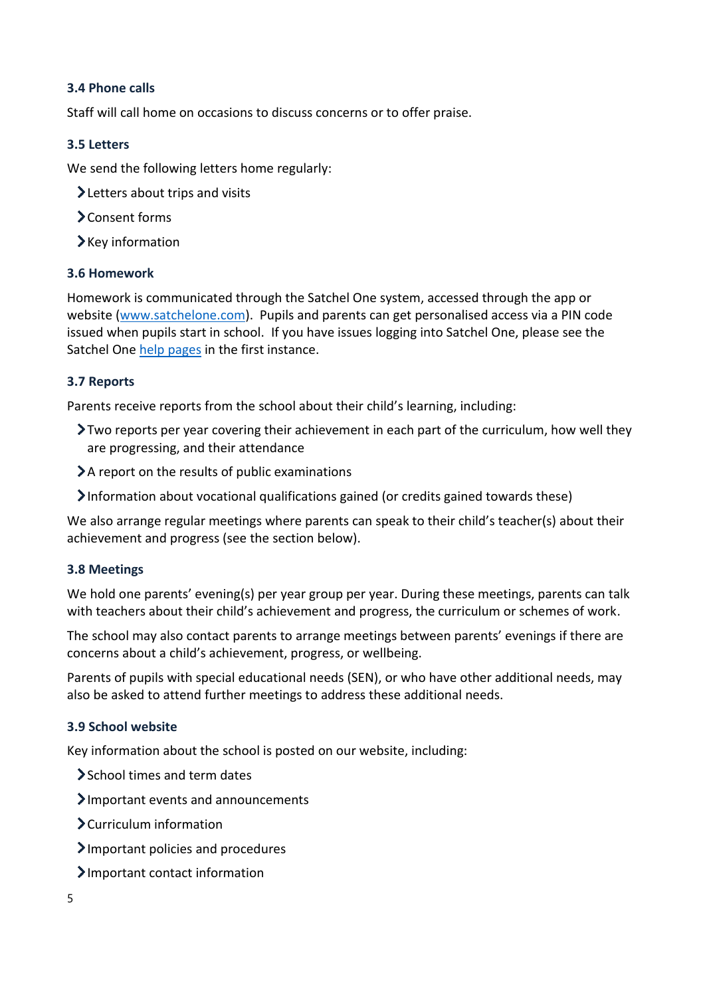#### **3.4 Phone calls**

Staff will call home on occasions to discuss concerns or to offer praise.

#### **3.5 Letters**

We send the following letters home regularly:

- > Letters about trips and visits
- Consent forms
- $\blacktriangleright$  Key information

#### **3.6 Homework**

Homework is communicated through the Satchel One system, accessed through the app or website [\(www.satchelone.com\)](http://www.satchelone.com/). Pupils and parents can get personalised access via a PIN code issued when pupils start in school. If you have issues logging into Satchel One, please see the Satchel On[e help pages](https://help.satchelone.com/en/articles/2912165-logging-in-as-a-parent) in the first instance.

#### **3.7 Reports**

Parents receive reports from the school about their child's learning, including:

- Two reports per year covering their achievement in each part of the curriculum, how well they are progressing, and their attendance
- $\lambda$  a report on the results of public examinations
- Information about vocational qualifications gained (or credits gained towards these)

We also arrange regular meetings where parents can speak to their child's teacher(s) about their achievement and progress (see the section below).

#### **3.8 Meetings**

We hold one parents' evening(s) per year group per year. During these meetings, parents can talk with teachers about their child's achievement and progress, the curriculum or schemes of work.

The school may also contact parents to arrange meetings between parents' evenings if there are concerns about a child's achievement, progress, or wellbeing.

Parents of pupils with special educational needs (SEN), or who have other additional needs, may also be asked to attend further meetings to address these additional needs.

#### **3.9 School website**

Key information about the school is posted on our website, including:

- > School times and term dates
- Important events and announcements
- Curriculum information
- Important policies and procedures
- Important contact information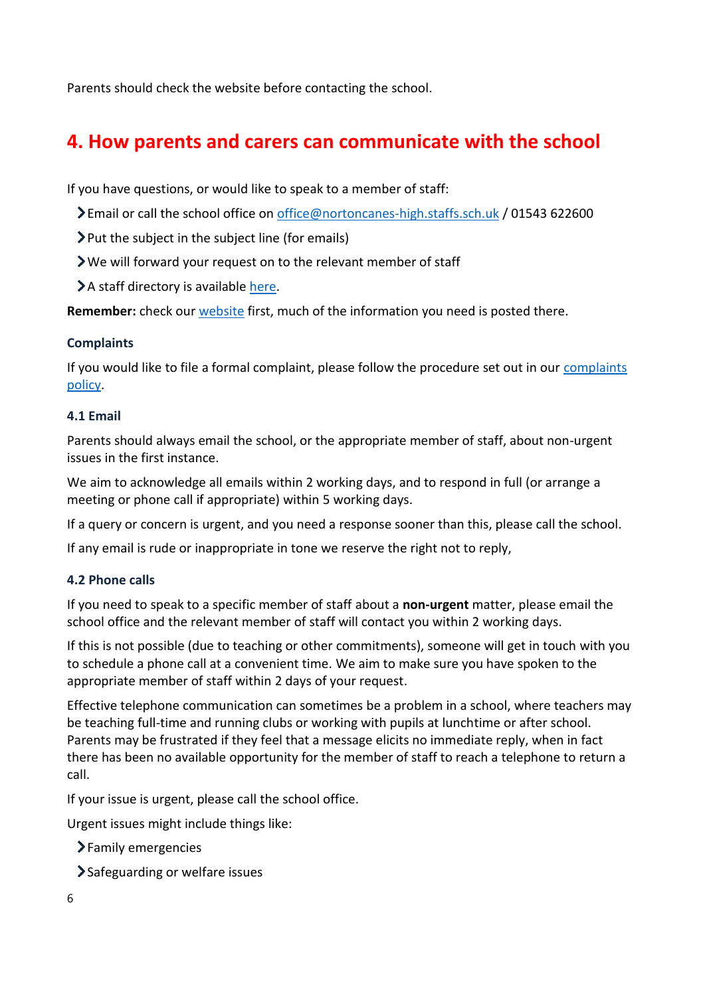Parents should check the website before contacting the school.

# <span id="page-5-0"></span>**4. How parents and carers can communicate with the school**

If you have questions, or would like to speak to a member of staff:

- Email or call the school office on [office@nortoncanes-high.staffs.sch.uk](mailto:office@nortoncanes-high.staffs.sch.uk) / 01543 622600
- $\blacktriangleright$  Put the subject in the subject line (for emails)
- We will forward your request on to the relevant member of staff
- A staff directory is available [here.](https://www.nortoncaneshighschool.co.uk/staff-directory/)

**Remember:** check our [website](https://www.nortoncaneshighschool.co.uk/) first, much of the information you need is posted there.

#### **Complaints**

If you would like to file a formal complaint, please follow the procedure set out in our [complaints](https://www.nortoncaneshighschool.co.uk/wp-content/uploads/2019/10/Complaints-Policy.docx.pdf)  [policy.](https://www.nortoncaneshighschool.co.uk/wp-content/uploads/2019/10/Complaints-Policy.docx.pdf)

#### **4.1 Email**

Parents should always email the school, or the appropriate member of staff, about non-urgent issues in the first instance.

We aim to acknowledge all emails within 2 working days, and to respond in full (or arrange a meeting or phone call if appropriate) within 5 working days.

If a query or concern is urgent, and you need a response sooner than this, please call the school.

If any email is rude or inappropriate in tone we reserve the right not to reply,

#### **4.2 Phone calls**

If you need to speak to a specific member of staff about a **non-urgent** matter, please email the school office and the relevant member of staff will contact you within 2 working days.

If this is not possible (due to teaching or other commitments), someone will get in touch with you to schedule a phone call at a convenient time. We aim to make sure you have spoken to the appropriate member of staff within 2 days of your request.

Effective telephone communication can sometimes be a problem in a school, where teachers may be teaching full-time and running clubs or working with pupils at lunchtime or after school. Parents may be frustrated if they feel that a message elicits no immediate reply, when in fact there has been no available opportunity for the member of staff to reach a telephone to return a call.

If your issue is urgent, please call the school office.

Urgent issues might include things like:

- > Family emergencies
- Safeguarding or welfare issues